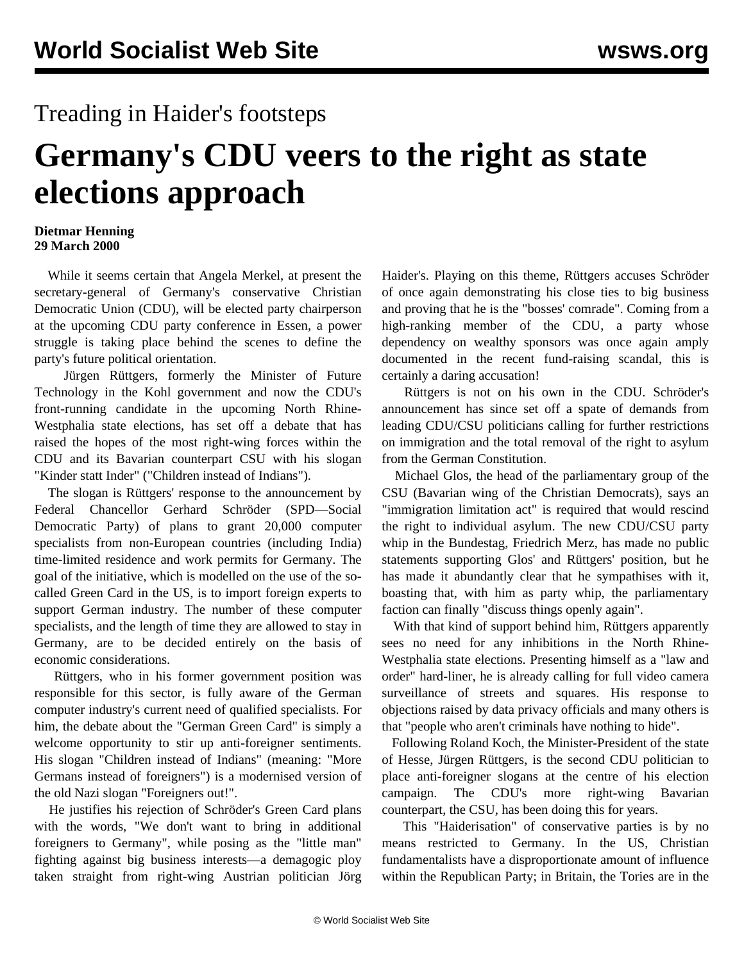## Treading in Haider's footsteps

## **Germany's CDU veers to the right as state elections approach**

## **Dietmar Henning 29 March 2000**

 While it seems certain that Angela Merkel, at present the secretary-general of Germany's conservative Christian Democratic Union (CDU), will be elected party chairperson at the upcoming CDU party conference in Essen, a power struggle is taking place behind the scenes to define the party's future political orientation.

 Jürgen Rüttgers, formerly the Minister of Future Technology in the Kohl government and now the CDU's front-running candidate in the upcoming North Rhine-Westphalia state elections, has set off a debate that has raised the hopes of the most right-wing forces within the CDU and its Bavarian counterpart CSU with his slogan "Kinder statt Inder" ("Children instead of Indians").

 The slogan is Rüttgers' response to the announcement by Federal Chancellor Gerhard Schröder (SPD—Social Democratic Party) of plans to grant 20,000 computer specialists from non-European countries (including India) time-limited residence and work permits for Germany. The goal of the initiative, which is modelled on the use of the socalled Green Card in the US, is to import foreign experts to support German industry. The number of these computer specialists, and the length of time they are allowed to stay in Germany, are to be decided entirely on the basis of economic considerations.

 Rüttgers, who in his former government position was responsible for this sector, is fully aware of the German computer industry's current need of qualified specialists. For him, the debate about the "German Green Card" is simply a welcome opportunity to stir up anti-foreigner sentiments. His slogan "Children instead of Indians" (meaning: "More Germans instead of foreigners") is a modernised version of the old Nazi slogan "Foreigners out!".

 He justifies his rejection of Schröder's Green Card plans with the words, "We don't want to bring in additional foreigners to Germany", while posing as the "little man" fighting against big business interests—a demagogic ploy taken straight from right-wing Austrian politician Jörg Haider's. Playing on this theme, Rüttgers accuses Schröder of once again demonstrating his close ties to big business and proving that he is the "bosses' comrade". Coming from a high-ranking member of the CDU, a party whose dependency on wealthy sponsors was once again amply documented in the recent fund-raising scandal, this is certainly a daring accusation!

 Rüttgers is not on his own in the CDU. Schröder's announcement has since set off a spate of demands from leading CDU/CSU politicians calling for further restrictions on immigration and the total removal of the right to asylum from the German Constitution.

 Michael Glos, the head of the parliamentary group of the CSU (Bavarian wing of the Christian Democrats), says an "immigration limitation act" is required that would rescind the right to individual asylum. The new CDU/CSU party whip in the Bundestag, Friedrich Merz, has made no public statements supporting Glos' and Rüttgers' position, but he has made it abundantly clear that he sympathises with it, boasting that, with him as party whip, the parliamentary faction can finally "discuss things openly again".

 With that kind of support behind him, Rüttgers apparently sees no need for any inhibitions in the North Rhine-Westphalia state elections. Presenting himself as a "law and order" hard-liner, he is already calling for full video camera surveillance of streets and squares. His response to objections raised by data privacy officials and many others is that "people who aren't criminals have nothing to hide".

 Following Roland Koch, the Minister-President of the state of Hesse, Jürgen Rüttgers, is the second CDU politician to place anti-foreigner slogans at the centre of his election campaign. The CDU's more right-wing Bavarian counterpart, the CSU, has been doing this for years.

 This "Haiderisation" of conservative parties is by no means restricted to Germany. In the US, Christian fundamentalists have a disproportionate amount of influence within the Republican Party; in Britain, the Tories are in the